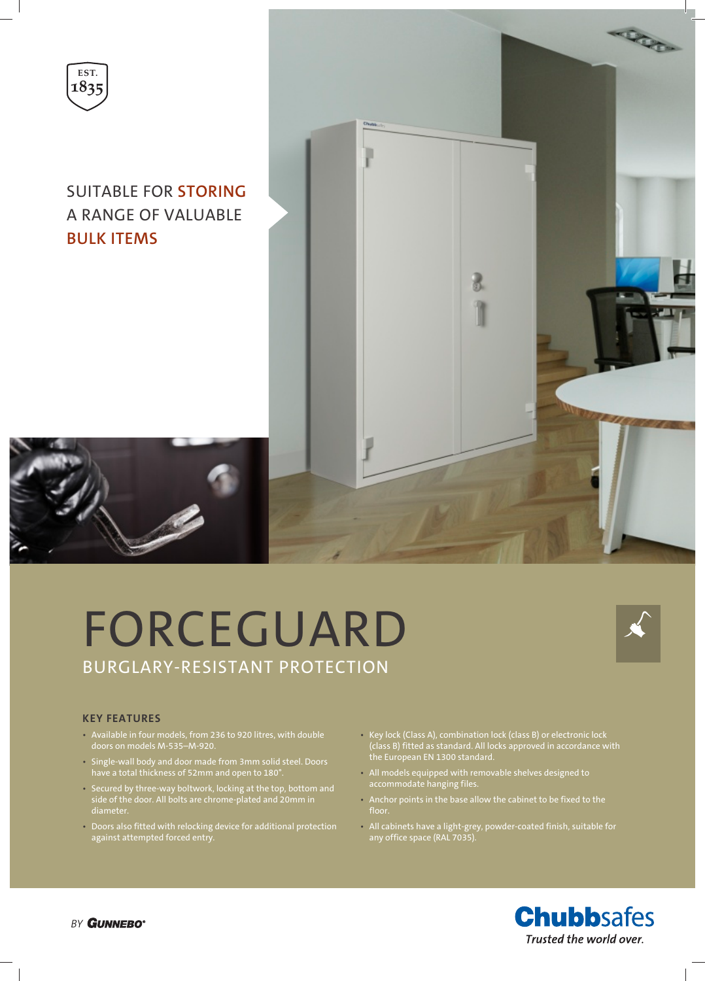

### SUITABLE FOR **STORING** A RANGE OF VALUABLE **BULK ITEMS**



# FORCEGUARD BURGLARY-RESISTANT PROTECTION



#### **KEY FEATURES**

- Available in four models, from 236 to 920 litres, with double
- Single-wall body and door made from 3mm solid steel. Doors have a total thickness of 52mm and open to 180°.
- Secured by three-way boltwork, locking at the top, bottom and side of the door. All bolts are chrome-plated and 20mm in diameter.
- Doors also fitted with relocking device for additional protection against attempted forced entry.
- Key lock (Class A), combination lock (class B) or electronic lock (class B) fitted as standard. All locks approved in accordance with the European EN 1300 standard.
- All models equipped with removable shelves designed to accommodate hanging files.
- Anchor points in the base allow the cabinet to be fixed to the floor.
- All cabinets have a light-grey, powder-coated finish, suitable for any office space (RAL 7035).